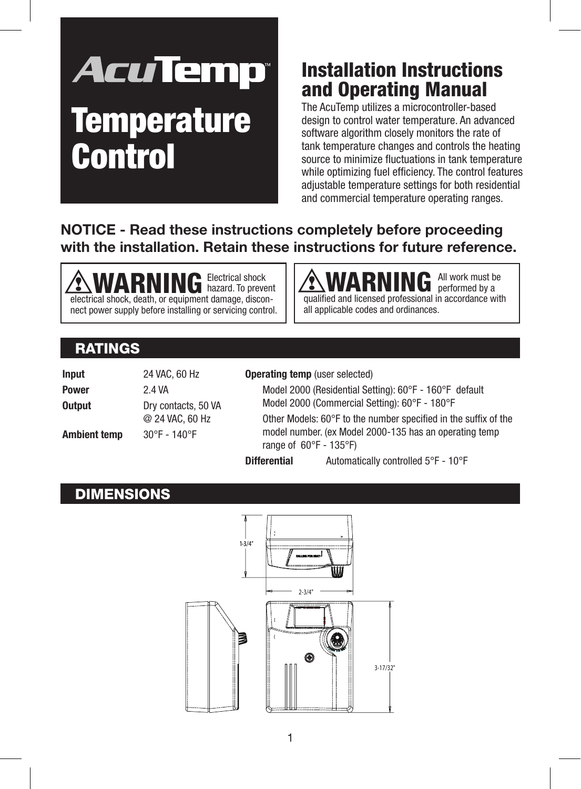# **AcuTemp Temperature Control**

## Installation Instructions and Operating Manual

The AcuTemp utilizes a microcontroller-based design to control water temperature. An advanced software algorithm closely monitors the rate of tank temperature changes and controls the heating source to minimize fluctuations in tank temperature while optimizing fuel efficiency. The control features adjustable temperature settings for both residential and commercial temperature operating ranges.

#### **NOTICE - Read these instructions completely before proceeding with the installation. Retain these instructions for future reference.**

**MARNING** Electrical shock electrical shock (electrical shock, death, or equipment damage, disconhazard. To prevent nect power supply before installing or servicing control. **MARNING** All work must be qualified and licensed professional in accordance with performed by a all applicable codes and ordinances.

## RATINGS

| Input        | 24 VAC, 60 Hz                          |
|--------------|----------------------------------------|
| Power        | 2.4 VA                                 |
| Output       | Dry contacts, 50 VA<br>@ 24 VAC, 60 Hz |
| Ambient temp | $30^{\circ}$ F - 140°F                 |

#### **Operating temp** (user selected)

Model 2000 (Residential Setting): 60°F - 160°F default Model 2000 (Commercial Setting): 60°F - 180°F Other Models: 60°F to the number specified in the suffix of the model number. (ex Model 2000-135 has an operating temp range of 60°F - 135°F)

**Differential** Automatically controlled 5°F - 10°F

#### **DIMENSIONS**

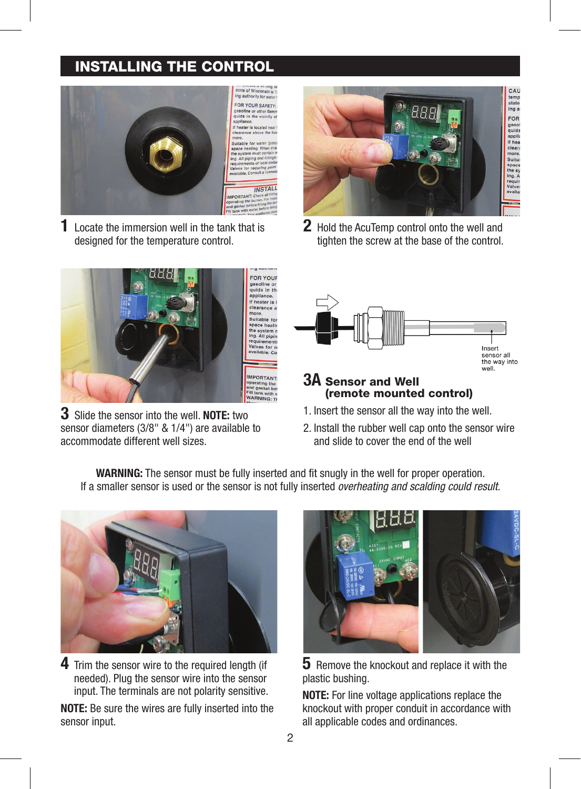#### INSTALLING THE CONTROL



**1** Locate the immersion well in the tank that is designed for the temperature control.



**3** Slide the sensor into the well. **NOTE:** two sensor diameters (3/8" & 1/4") are available to accommodate different well sizes.



**2** Hold the AcuTemp control onto the well and tighten the screw at the base of the control.



#### **3A** Sensor and Well (remote mounted control)

- 1. Insert the sensor all the way into the well.
- 2. Install the rubber well cap onto the sensor wire and slide to cover the end of the well

**WARNING:** The sensor must be fully inserted and fit snugly in the well for proper operation. If a smaller sensor is used or the sensor is not fully inserted *overheating and scalding could result.*



**4** Trim the sensor wire to the required length (if needed). Plug the sensor wire into the sensor input. The terminals are not polarity sensitive.

**NOTE:** Be sure the wires are fully inserted into the sensor input.



**5** Remove the knockout and replace it with the plastic bushing.

**NOTE:** For line voltage applications replace the knockout with proper conduit in accordance with all applicable codes and ordinances.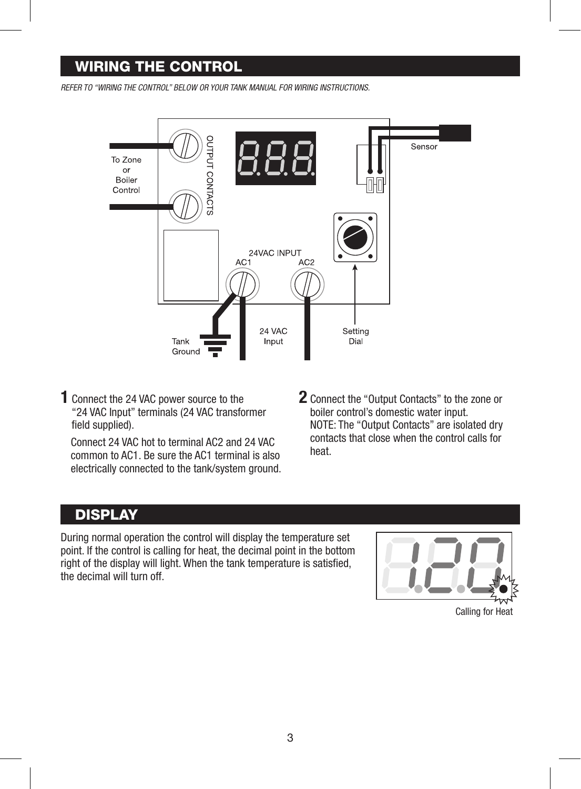#### WIRING THE CONTROL

*REFER TO "WIRING THE CONTROL" BELOW OR YOUR TANK MANUAL FOR WIRING INSTRUCTIONS.*



**1** Connect the 24 VAC power source to the "24 VAC Input" terminals (24 VAC transformer field supplied).

Connect 24 VAC hot to terminal AC2 and 24 VAC common to AC1. Be sure the AC1 terminal is also electrically connected to the tank/system ground. **2** Connect the "Output Contacts" to the zone or boiler control's domestic water input. NOTE: The "Output Contacts" are isolated dry contacts that close when the control calls for heat.

#### **DISPLAY**

During normal operation the control will display the temperature set point. If the control is calling for heat, the decimal point in the bottom right of the display will light. When the tank temperature is satisfied, the decimal will turn off.